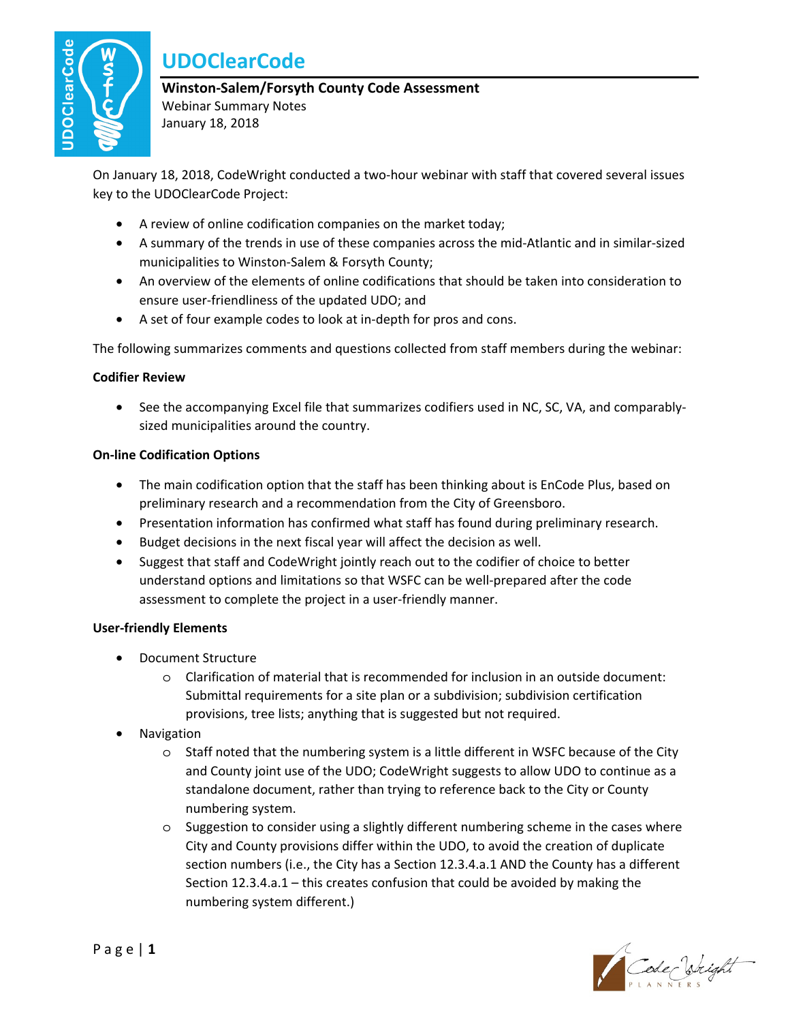

# **UDOClearCode**

### **Winston-Salem/Forsyth County Code Assessment**

Webinar Summary Notes January 18, 2018

On January 18, 2018, CodeWright conducted a two-hour webinar with staff that covered several issues key to the UDOClearCode Project:

- A review of online codification companies on the market today;
- A summary of the trends in use of these companies across the mid-Atlantic and in similar-sized municipalities to Winston-Salem & Forsyth County;
- An overview of the elements of online codifications that should be taken into consideration to ensure user-friendliness of the updated UDO; and
- A set of four example codes to look at in-depth for pros and cons.

The following summarizes comments and questions collected from staff members during the webinar:

## **Codifier Review**

• See the accompanying Excel file that summarizes codifiers used in NC, SC, VA, and comparablysized municipalities around the country.

## **On-line Codification Options**

- The main codification option that the staff has been thinking about is EnCode Plus, based on preliminary research and a recommendation from the City of Greensboro.
- Presentation information has confirmed what staff has found during preliminary research.
- Budget decisions in the next fiscal year will affect the decision as well.
- Suggest that staff and CodeWright jointly reach out to the codifier of choice to better understand options and limitations so that WSFC can be well-prepared after the code assessment to complete the project in a user-friendly manner.

#### **User-friendly Elements**

- Document Structure
	- o Clarification of material that is recommended for inclusion in an outside document: Submittal requirements for a site plan or a subdivision; subdivision certification provisions, tree lists; anything that is suggested but not required.
- **Navigation** 
	- o Staff noted that the numbering system is a little different in WSFC because of the City and County joint use of the UDO; CodeWright suggests to allow UDO to continue as a standalone document, rather than trying to reference back to the City or County numbering system.
	- o Suggestion to consider using a slightly different numbering scheme in the cases where City and County provisions differ within the UDO, to avoid the creation of duplicate section numbers (i.e., the City has a Section 12.3.4.a.1 AND the County has a different Section 12.3.4.a.1 – this creates confusion that could be avoided by making the numbering system different.)